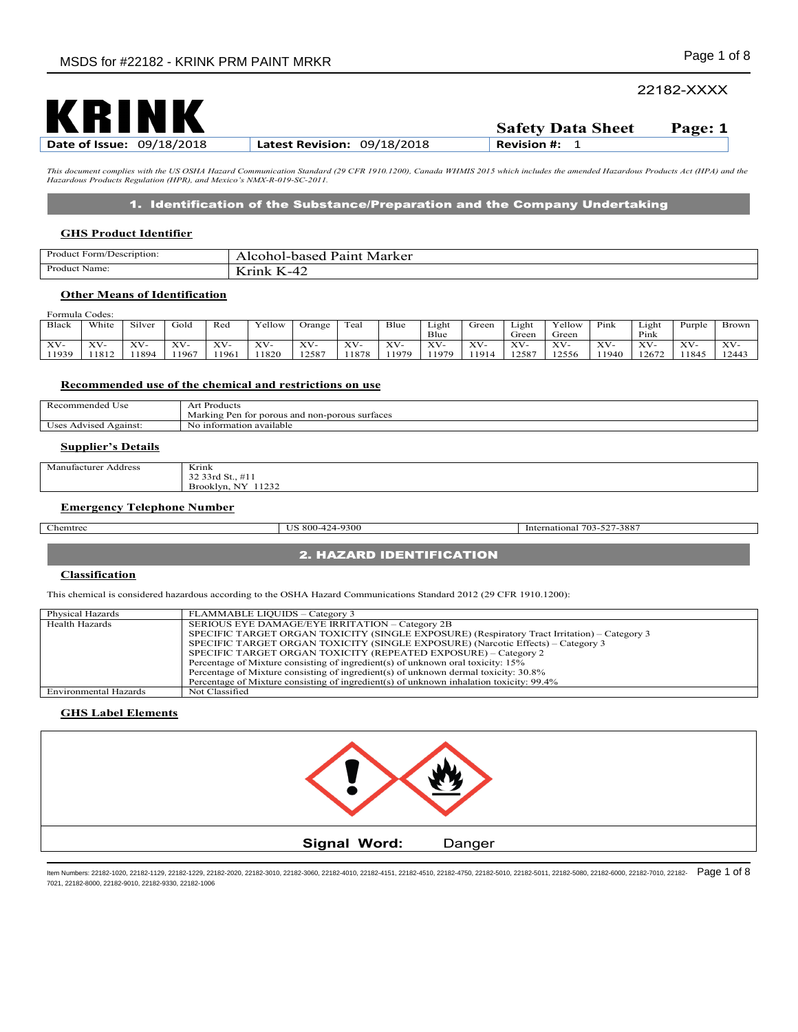# 22182-XXXX



*This document complies with the US OSHA Hazard Communication Standard (29 CFR 1910.1200), Canada WHMIS 2015 which includes the amended Hazardous Products Act (HPA) and the Hazardous Products Regulation (HPR), and Mexico's NMX-R-019-SC-2011.* 

## 1. Identification of the Substance/Preparation and the Company Undertaking

#### **GHS Product Identifier**

| Product Form/Description: | Marker<br>Pain<br>$\sim$<br>$\sim$<br>$\sim$ $\sim$<br>$\ldots$ CONOI-<br>vasec |
|---------------------------|---------------------------------------------------------------------------------|
| Product                   | 27.3.77                                                                         |
| Name:                     | -4                                                                              |

## **Other Means of Identification**

| Formula Codes:      |       |        |       |             |        |               |       |        |       |       |       |        |        |           |        |              |
|---------------------|-------|--------|-------|-------------|--------|---------------|-------|--------|-------|-------|-------|--------|--------|-----------|--------|--------------|
| Black               | White | Silver | Gold  | Red         | Vellow | <b>Drange</b> | Teal  | Blue   | Light | Green | Light | Yellow | Pink   | Light     | Purple | <b>Brown</b> |
|                     |       |        |       |             |        |               |       |        | Blue  |       | Green | Green  |        | Pink      |        |              |
| $XV -$<br>$\lambda$ | XV-   | XV-    | XV-   | <b>XZXZ</b> | XV-    | XV-           | XV-   | $XV -$ | XV-   | XV-   | XV-   | XV-    | $XV$ - | <b>VV</b> | XV-    | XV-          |
| 11939               | 1812  | 1894   | 11967 | 1961        | 1820   | 12587         | 11878 | 1979   | 1979  | 11914 | 12587 | 12556  | 1940   | 12672     | 1845   | 12443        |

#### **Recommended use of the chemical and restrictions on use**

| $-$<br>$\sim$<br>commendeo<br>Use<br>- - - | .<br>'roducts                                                 |
|--------------------------------------------|---------------------------------------------------------------|
|                                            | Marking<br>Pen<br>non-porous<br>for porous<br>surfaces<br>and |
| . .<br>Against:<br>$\sim$<br>Advised       | untormation available<br>,,,                                  |

### **Supplier's Details**

| Manufacturer<br>Address | Krink                                          |
|-------------------------|------------------------------------------------|
|                         | $\sim$<br>33rd St.,                            |
|                         | <b>NIX</b><br>1232<br>$\sim$<br>Brooklyn.<br>. |

**2. HAZARD IDENTIFICATION** 

### **Emergency Telephone Number**

| சாப<br>٠ |
|----------|
|----------|

US 800-424-9300 International 703-527-3887

# **Classification**

This chemical is considered hazardous according to the OSHA Hazard Communications Standard 2012 (29 CFR 1910.1200):

| <b>Physical Hazards</b> | FLAMMABLE LIOUIDS - Category 3                                                               |
|-------------------------|----------------------------------------------------------------------------------------------|
| <b>Health Hazards</b>   | SERIOUS EYE DAMAGE/EYE IRRITATION – Category 2B                                              |
|                         | SPECIFIC TARGET ORGAN TOXICITY (SINGLE EXPOSURE) (Respiratory Tract Irritation) – Category 3 |
|                         | SPECIFIC TARGET ORGAN TOXICITY (SINGLE EXPOSURE) (Narcotic Effects) - Category 3             |
|                         | SPECIFIC TARGET ORGAN TOXICITY (REPEATED EXPOSURE) - Category 2                              |
|                         | Percentage of Mixture consisting of ingredient(s) of unknown oral toxicity: 15%              |
|                         | Percentage of Mixture consisting of ingredient(s) of unknown dermal toxicity: 30.8%          |
|                         | Percentage of Mixture consisting of ingredient(s) of unknown inhalation toxicity: 99.4%      |
| Environmental Hazards   | Not Classified                                                                               |

# **GHS Label Elements**

| <b>Signal Word:</b> | Danger |  |  |  |  |
|---------------------|--------|--|--|--|--|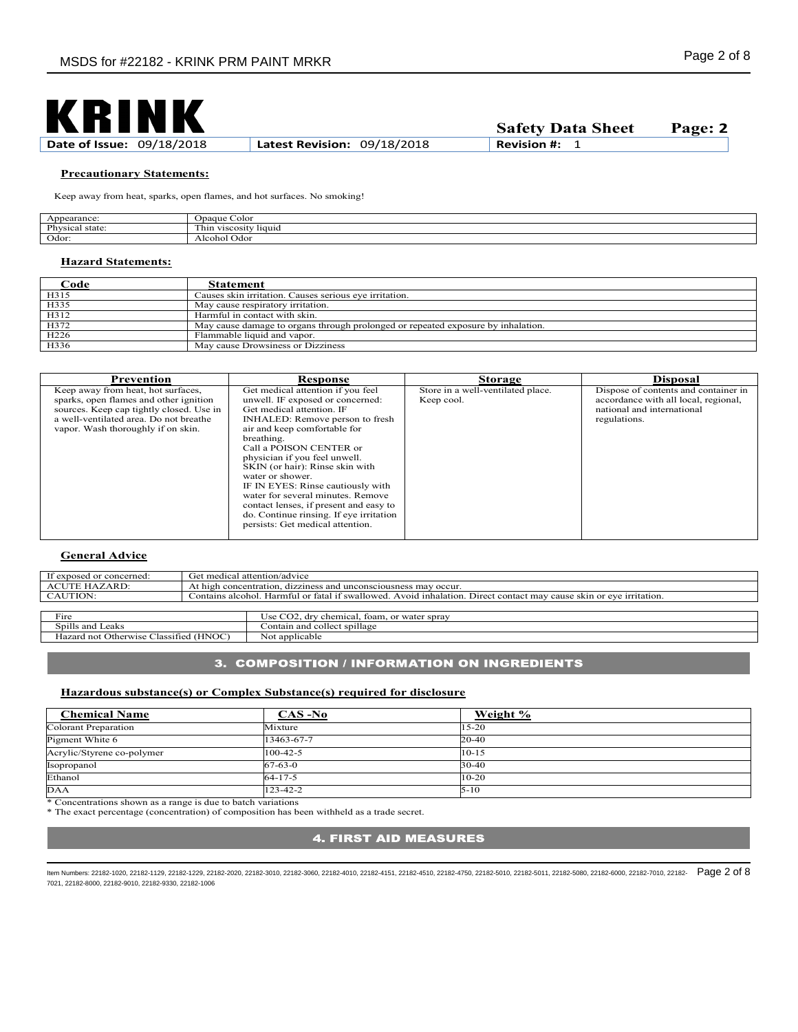

**Safety Data Sheet Page: 2**

#### **Precautionary Statements:**

Keep away from heat, sparks, open flames, and hot surfaces. No smoking!

| $\Delta T$<br>earance:<br>``          | <b>D</b> paque<br>Coloi                      |
|---------------------------------------|----------------------------------------------|
| Phv<br>$_{\text{stat}}$<br>siaic<br>. | $\sim$<br>liquid<br>l hin<br><b>VISCOSIT</b> |
| Odor.                                 | Odo!<br>⊴icohol<br>.                         |

### **Hazard Statements:**

| <u>_'ode</u>     | Statement                                                                        |
|------------------|----------------------------------------------------------------------------------|
| H315             | Causes skin irritation. Causes serious eye irritation.                           |
| H335             | May cause respiratory irritation.                                                |
| H312             | Harmful in contact with skin.                                                    |
| H372             | May cause damage to organs through prolonged or repeated exposure by inhalation. |
| H <sub>226</sub> | Flammable liquid and vapor.                                                      |
| H336             | May cause Drowsiness or Dizziness                                                |

| Prevention                                                                                                                                                                                               | Response                                                                                                                                                                                                                                                                                                                                                                                                                                                                                                  | <b>Storage</b>                                  | <b>Disposal</b>                                                                                                            |
|----------------------------------------------------------------------------------------------------------------------------------------------------------------------------------------------------------|-----------------------------------------------------------------------------------------------------------------------------------------------------------------------------------------------------------------------------------------------------------------------------------------------------------------------------------------------------------------------------------------------------------------------------------------------------------------------------------------------------------|-------------------------------------------------|----------------------------------------------------------------------------------------------------------------------------|
| Keep away from heat, hot surfaces,<br>sparks, open flames and other ignition<br>sources. Keep cap tightly closed. Use in<br>a well-ventilated area. Do not breathe<br>vapor. Wash thoroughly if on skin. | Get medical attention if you feel<br>unwell. IF exposed or concerned:<br>Get medical attention. IF<br>INHALED: Remove person to fresh<br>air and keep comfortable for<br>breathing.<br>Call a POISON CENTER or<br>physician if you feel unwell.<br>SKIN (or hair): Rinse skin with<br>water or shower.<br>IF IN EYES: Rinse cautiously with<br>water for several minutes. Remove<br>contact lenses, if present and easy to<br>do. Continue rinsing. If eye irritation<br>persists: Get medical attention. | Store in a well-ventilated place.<br>Keep cool. | Dispose of contents and container in<br>accordance with all local, regional,<br>national and international<br>regulations. |

### **General Advice**

| If exposed or concerned:                         | Get medical attention/advice |                                                                                                                     |  |  |  |  |  |
|--------------------------------------------------|------------------------------|---------------------------------------------------------------------------------------------------------------------|--|--|--|--|--|
| <b>ACUTE HAZARD:</b>                             |                              | At high concentration, dizziness and unconsciousness may occur.                                                     |  |  |  |  |  |
| CAUTION:                                         |                              | Contains alcohol. Harmful or fatal if swallowed. Avoid inhalation. Direct contact may cause skin or eve irritation. |  |  |  |  |  |
|                                                  |                              |                                                                                                                     |  |  |  |  |  |
| Fire                                             |                              | Use CO2, dry chemical, foam, or water spray                                                                         |  |  |  |  |  |
| Spills and Leaks<br>Contain and collect spillage |                              |                                                                                                                     |  |  |  |  |  |
| Hazard not Otherwise Classified (HNOC)           |                              | Not applicable                                                                                                      |  |  |  |  |  |

## 3. COMPOSITION / INFORMATION ON INGREDIENTS

## **Hazardous substance(s) or Complex Substance(s) required for disclosure**

| <b>Chemical Name</b>       | $CAS-No$       | Weight %  |
|----------------------------|----------------|-----------|
| Colorant Preparation       | Mixture        | $15 - 20$ |
| Pigment White 6            | 13463-67-7     | 20-40     |
| Acrylic/Styrene co-polymer | $100 - 42 - 5$ | $10 - 15$ |
| Isopropanol                | $67 - 63 - 0$  | $30 - 40$ |
| Ethanol                    | $64 - 17 - 5$  | $10-20$   |
| <b>DAA</b>                 | 123-42-2       | $5 - 10$  |

\* Concentrations shown as a range is due to batch variations

\* The exact percentage (concentration) of composition has been withheld as a trade secret.

# **4. FIRST AID MEASURES**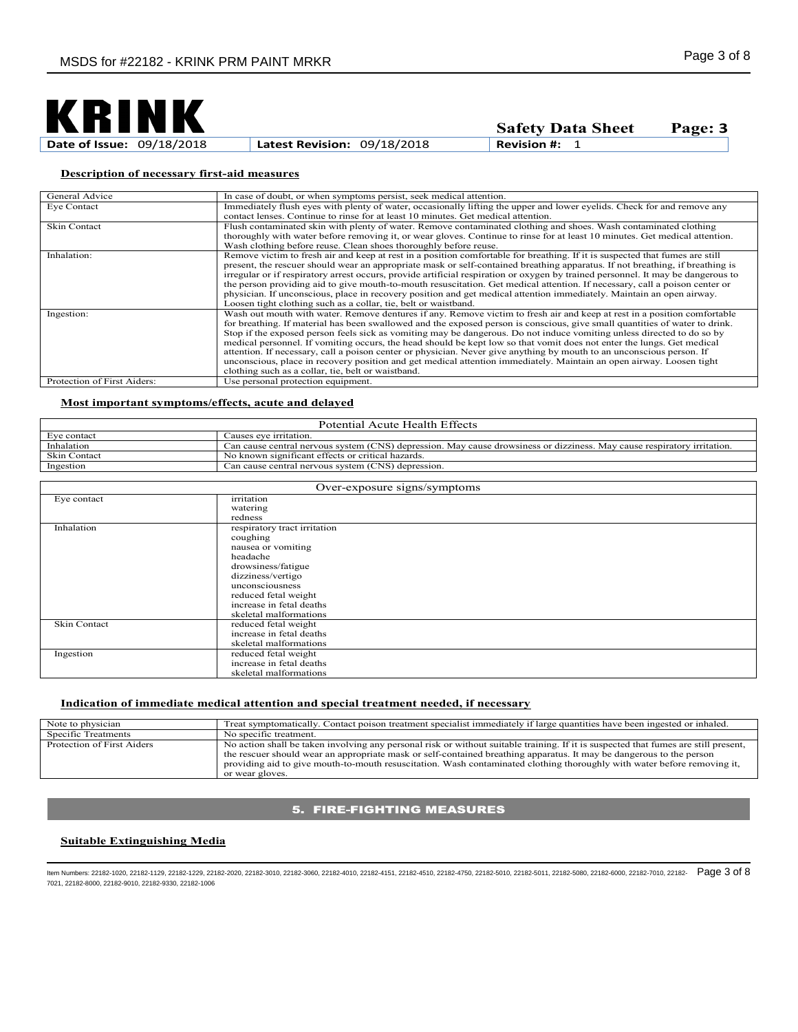

**Safety Data Sheet Page: 3**

# **Description of necessary first-aid measures**

| General Advice              | In case of doubt, or when symptoms persist, seek medical attention.                                                              |
|-----------------------------|----------------------------------------------------------------------------------------------------------------------------------|
| Eye Contact                 | Immediately flush eyes with plenty of water, occasionally lifting the upper and lower eyelids. Check for and remove any          |
|                             | contact lenses. Continue to rinse for at least 10 minutes. Get medical attention.                                                |
| Skin Contact                | Flush contaminated skin with plenty of water. Remove contaminated clothing and shoes. Wash contaminated clothing                 |
|                             | thoroughly with water before removing it, or wear gloves. Continue to rinse for at least 10 minutes. Get medical attention.      |
|                             | Wash clothing before reuse. Clean shoes thoroughly before reuse.                                                                 |
| Inhalation:                 | Remove victim to fresh air and keep at rest in a position comfortable for breathing. If it is suspected that fumes are still     |
|                             | present, the rescuer should wear an appropriate mask or self-contained breathing apparatus. If not breathing, if breathing is    |
|                             | irregular or if respiratory arrest occurs, provide artificial respiration or oxygen by trained personnel. It may be dangerous to |
|                             | the person providing aid to give mouth-to-mouth resuscitation. Get medical attention. If necessary, call a poison center or      |
|                             | physician. If unconscious, place in recovery position and get medical attention immediately. Maintain an open airway.            |
|                             | Loosen tight clothing such as a collar, tie, belt or waistband.                                                                  |
| Ingestion:                  | Wash out mouth with water. Remove dentures if any. Remove victim to fresh air and keep at rest in a position comfortable         |
|                             | for breathing. If material has been swallowed and the exposed person is conscious, give small quantities of water to drink.      |
|                             | Stop if the exposed person feels sick as vomiting may be dangerous. Do not induce vomiting unless directed to do so by           |
|                             | medical personnel. If vomiting occurs, the head should be kept low so that vomit does not enter the lungs. Get medical           |
|                             | attention. If necessary, call a poison center or physician. Never give anything by mouth to an unconscious person. If            |
|                             | unconscious, place in recovery position and get medical attention immediately. Maintain an open airway. Loosen tight             |
|                             | clothing such as a collar, tie, belt or waistband.                                                                               |
| Protection of First Aiders: | Use personal protection equipment.                                                                                               |

# **Most important symptoms/effects, acute and delayed**

| Potential Acute Health Effects |                                                                                                                         |  |
|--------------------------------|-------------------------------------------------------------------------------------------------------------------------|--|
| Eve contact                    | auses eve irritation.                                                                                                   |  |
| Inhalation                     | Can cause central nervous system (CNS) depression. May cause drowsiness or dizziness. May cause respiratory irritation. |  |
| <b>Skin Contact</b>            | No known significant effects or critical hazards.                                                                       |  |
| Ingestion                      | Can cause central nervous system (CNS) depression.                                                                      |  |
|                                |                                                                                                                         |  |

| Over-exposure signs/symptoms |                              |  |
|------------------------------|------------------------------|--|
| Eye contact                  | irritation                   |  |
|                              | watering                     |  |
|                              | redness                      |  |
| Inhalation                   | respiratory tract irritation |  |
|                              | coughing                     |  |
|                              | nausea or vomiting           |  |
|                              | headache                     |  |
|                              | drowsiness/fatigue           |  |
|                              | dizziness/vertigo            |  |
|                              | unconsciousness              |  |
|                              | reduced fetal weight         |  |
|                              | increase in fetal deaths     |  |
|                              | skeletal malformations       |  |
| <b>Skin Contact</b>          | reduced fetal weight         |  |
|                              | increase in fetal deaths     |  |
|                              | skeletal malformations       |  |
| Ingestion                    | reduced fetal weight         |  |
|                              | increase in fetal deaths     |  |
|                              | skeletal malformations       |  |

#### **Indication of immediate medical attention and special treatment needed, if necessary**

| Note to physician          | Treat symptomatically. Contact poison treatment specialist immediately if large quantities have been ingested or inhaled.                                                                                                                                                                                                                                                                                  |
|----------------------------|------------------------------------------------------------------------------------------------------------------------------------------------------------------------------------------------------------------------------------------------------------------------------------------------------------------------------------------------------------------------------------------------------------|
| Specific Treatments        | No specific treatment.                                                                                                                                                                                                                                                                                                                                                                                     |
| Protection of First Aiders | No action shall be taken involving any personal risk or without suitable training. If it is suspected that fumes are still present,<br>the rescuer should wear an appropriate mask or self-contained breathing apparatus. It may be dangerous to the person<br>providing aid to give mouth-to-mouth resuscitation. Wash contaminated clothing thoroughly with water before removing it,<br>or wear gloves. |

# **5. FIRE-FIGHTING MEASURES**

## **Suitable Extinguishing Media**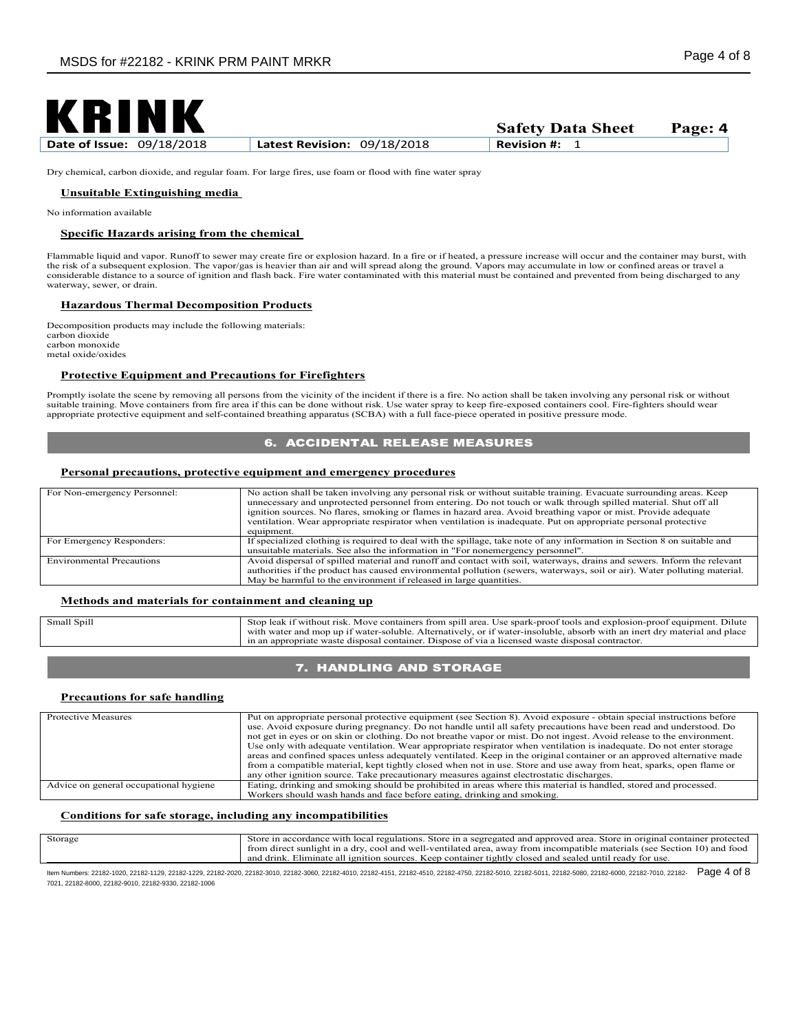

**Date of Issue:** 09/18/2018 **Latest Revision:** 09/18/2018 **Revision #:** 1

**Safety Data Sheet Page: 4**

Dry chemical, carbon dioxide, and regular foam. For large fires, use foam or flood with fine water spray

### **Unsuitable Extinguishing media**

No information available

#### **Specific Hazards arising from the chemical**

Flammable liquid and vapor. Runoff to sewer may create fire or explosion hazard. In a fire or if heated, a pressure increase will occur and the container may burst, with the risk of a subsequent explosion. The vapor/gas is heavier than air and will spread along the ground. Vapors may accumulate in low or confined areas or travel a<br>considerable distance to a source of ignition and flash bac waterway, sewer, or drain.

### **Hazardous Thermal Decomposition Products**

Decomposition products may include the following materials: carbon dioxide carbon monoxide metal oxide/oxides

### **Protective Equipment and Precautions for Firefighters**

Promptly isolate the scene by removing all persons from the vicinity of the incident if there is a fire. No action shall be taken involving any personal risk or without suitable training. Move containers from fire area if this can be done without risk. Use water spray to keep fire-exposed containers cool. Fire-fighters should wear appropriate protective equipment and self-contained breathing apparatus (SCBA) with a full face-piece operated in positive pressure mode.

## **6. ACCIDENTAL RELEASE MEASURES**

### **Personal precautions, protective equipment and emergency procedures**

| For Non-emergency Personnel:     | No action shall be taken involving any personal risk or without suitable training. Evacuate surrounding areas, Keep<br>unnecessary and unprotected personnel from entering. Do not touch or walk through spilled material. Shut off all<br>ignition sources. No flares, smoking or flames in hazard area. Avoid breathing vapor or mist. Provide adequate<br>ventilation. Wear appropriate respirator when ventilation is inadequate. Put on appropriate personal protective<br>equipment. |
|----------------------------------|--------------------------------------------------------------------------------------------------------------------------------------------------------------------------------------------------------------------------------------------------------------------------------------------------------------------------------------------------------------------------------------------------------------------------------------------------------------------------------------------|
| For Emergency Responders:        | If specialized clothing is required to deal with the spillage, take note of any information in Section 8 on suitable and                                                                                                                                                                                                                                                                                                                                                                   |
|                                  | unsuitable materials. See also the information in "For nonemergency personnel".                                                                                                                                                                                                                                                                                                                                                                                                            |
| <b>Environmental Precautions</b> | Avoid dispersal of spilled material and runoff and contact with soil, waterways, drains and sewers. Inform the relevant<br>authorities if the product has caused environmental pollution (sewers, waterways, soil or air). Water polluting material.<br>May be harmful to the environment if released in large quantities.                                                                                                                                                                 |

## **Methods and materials for containment and cleaning up**

| Small Spill | Stop leak if without risk. Move containers from spill area. Use spark-proof tools and explosion-proof equipment. Dilute<br>with water and mop up if water-soluble. Alternatively, or if water-insoluble, absorb with an inert dry material and place<br>in an appropriate waste disposal container. Dispose of via a licensed waste disposal contractor. |
|-------------|----------------------------------------------------------------------------------------------------------------------------------------------------------------------------------------------------------------------------------------------------------------------------------------------------------------------------------------------------------|
|             |                                                                                                                                                                                                                                                                                                                                                          |

# 7. HANDLING AND STORAGE

#### **Precautions for safe handling**

| Protective Measures                    | Put on appropriate personal protective equipment (see Section 8). Avoid exposure - obtain special instructions before  |  |  |
|----------------------------------------|------------------------------------------------------------------------------------------------------------------------|--|--|
|                                        | use. Avoid exposure during pregnancy. Do not handle until all safety precautions have been read and understood. Do     |  |  |
|                                        | not get in eyes or on skin or clothing. Do not breathe vapor or mist. Do not ingest. Avoid release to the environment. |  |  |
|                                        | Use only with adequate ventilation. Wear appropriate respirator when ventilation is inadequate. Do not enter storage   |  |  |
|                                        | areas and confined spaces unless adequately ventilated. Keep in the original container or an approved alternative made |  |  |
|                                        | from a compatible material, kept tightly closed when not in use. Store and use away from heat, sparks, open flame or   |  |  |
|                                        | any other ignition source. Take precautionary measures against electrostatic discharges.                               |  |  |
| Advice on general occupational hygiene | Eating, drinking and smoking should be prohibited in areas where this material is handled, stored and processed.       |  |  |
|                                        | Workers should wash hands and face before eating, drinking and smoking.                                                |  |  |

## **Conditions for safe storage, including any incompatibilities**

| Storage | a accordance with local regulations. Store in a segregated and approved area. Store in original container                |
|---------|--------------------------------------------------------------------------------------------------------------------------|
|         | from direct sunlight in a dry, cool and well-ventilated area, away from incompatible materials (see Section 10) and food |
|         | and drink<br>r tightly closed and sealed until ready for use.<br>. Keep container<br>Eliminate all ignition sources l    |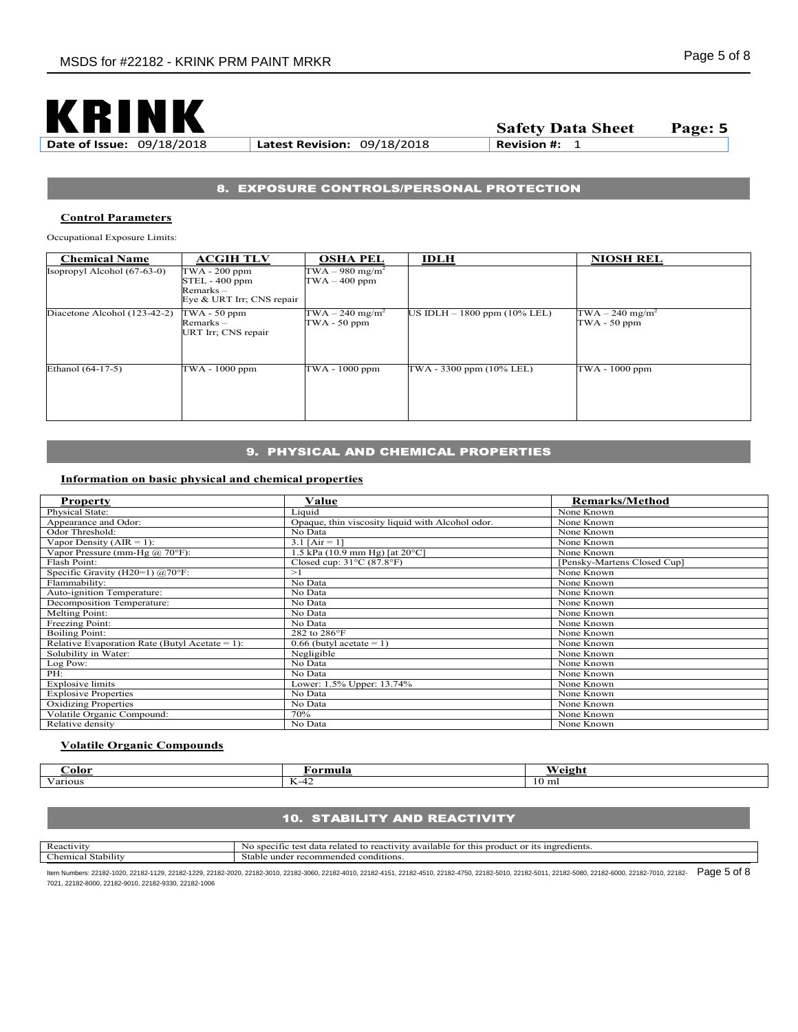

**Date of Issue:** 09/18/2018 **Latest Revision:** 09/18/2018 **Revision #:** 1

**Safety Data Sheet Page: 5**

# 8. EXPOSURE CONTROLS/PERSONAL PROTECTION

### **Control Parameters**

Occupational Exposure Limits:

| <b>Chemical Name</b>          | <b>ACGIH TLV</b>                                                         | <b>OSHA PEL</b>                                  | <b>IDLH</b>                    | <b>NIOSH REL</b>                               |
|-------------------------------|--------------------------------------------------------------------------|--------------------------------------------------|--------------------------------|------------------------------------------------|
| Isopropyl Alcohol $(67-63-0)$ | TWA - 200 ppm<br>STEL - 400 ppm<br>Remarks-<br>Eye & URT Irr; CNS repair | $TWA - 980$ mg/m <sup>2</sup><br>$TWA - 400$ ppm |                                |                                                |
| Diacetone Alcohol (123-42-2)  | $TWA - 50 ppm$<br>$Remarks -$<br>URT Irr; CNS repair                     | $TWA - 240$ mg/m <sup>2</sup><br>$TWA - 50 ppm$  | US IDLH $- 1800$ ppm (10% LEL) | TWA $-240$ mg/m <sup>2</sup><br>$TWA - 50$ ppm |
| Ethanol (64-17-5)             | TWA - 1000 ppm                                                           | TWA - 1000 ppm                                   | TWA - 3300 ppm (10% LEL)       | TWA - 1000 ppm                                 |

# 9. PHYSICAL AND CHEMICAL PROPERTIES

# **Information on basic physical and chemical properties**

| <b>Property</b>                                 | Value                                              | <b>Remarks/Method</b>       |
|-------------------------------------------------|----------------------------------------------------|-----------------------------|
| Physical State:                                 | Liquid                                             | None Known                  |
| Appearance and Odor:                            | Opaque, thin viscosity liquid with Alcohol odor.   | None Known                  |
| Odor Threshold:                                 | No Data                                            | None Known                  |
| Vapor Density ( $AIR = 1$ ):                    | 3.1 $[Air = 1]$                                    | None Known                  |
| Vapor Pressure (mm-Hg $\omega$ 70°F):           | 1.5 kPa $(10.9 \text{ mm Hg})$ [at $20^{\circ}$ C] | None Known                  |
| Flash Point:                                    | Closed cup: $31^{\circ}$ C (87.8 $^{\circ}$ F)     | [Pensky-Martens Closed Cup] |
| Specific Gravity (H20=1) $\overline{(a)}$ 70°F: | >1                                                 | None Known                  |
| Flammability:                                   | No Data                                            | None Known                  |
| Auto-ignition Temperature:                      | No Data                                            | None Known                  |
| Decomposition Temperature:                      | No Data                                            | None Known                  |
| <b>Melting Point:</b>                           | No Data                                            | None Known                  |
| Freezing Point:                                 | No Data                                            | None Known                  |
| <b>Boiling Point:</b>                           | 282 to 286°F                                       | None Known                  |
| Relative Evaporation Rate (Butyl Acetate = 1):  | $0.66$ (butyl acetate = 1)                         | None Known                  |
| Solubility in Water:                            | Negligible                                         | None Known                  |
| Log Pow:                                        | No Data                                            | None Known                  |
| PH:                                             | No Data                                            | None Known                  |
| Explosive limits                                | Lower: 1.5% Upper: 13.74%                          | None Known                  |
| <b>Explosive Properties</b>                     | No Data                                            | None Known                  |
| <b>Oxidizing Properties</b>                     | No Data                                            | None Known                  |
| Volatile Organic Compound:                      | 70%                                                | None Known                  |
| Relative density                                | No Data                                            | None Known                  |

## **Volatile Organic Compounds**

| .)olor                  | ™muıa                            | <br>∕eiσh |
|-------------------------|----------------------------------|-----------|
| $\mathbf{v}$<br>Various | . — п<br>$\sqrt{ }$<br>$12 - 72$ | 10 ml     |

# **10. STABILITY AND REACTIVITY**

| Reactivit                         | edients.<br>sne<br>this<br>- 1ts<br>$_{\rm mr}$<br>te.<br>mer<br>--<br>tor<br>$\alpha$<br>,,,,,,,<br>available.<br>No<br>.oduct<br>elate<br>$\sim$<br>тс<br>. . |
|-----------------------------------|-----------------------------------------------------------------------------------------------------------------------------------------------------------------|
| $-1$<br>.iemic<br>stabilit<br>- 0 | conditions.<br>: under<br>recommended<br>Stable                                                                                                                 |
|                                   |                                                                                                                                                                 |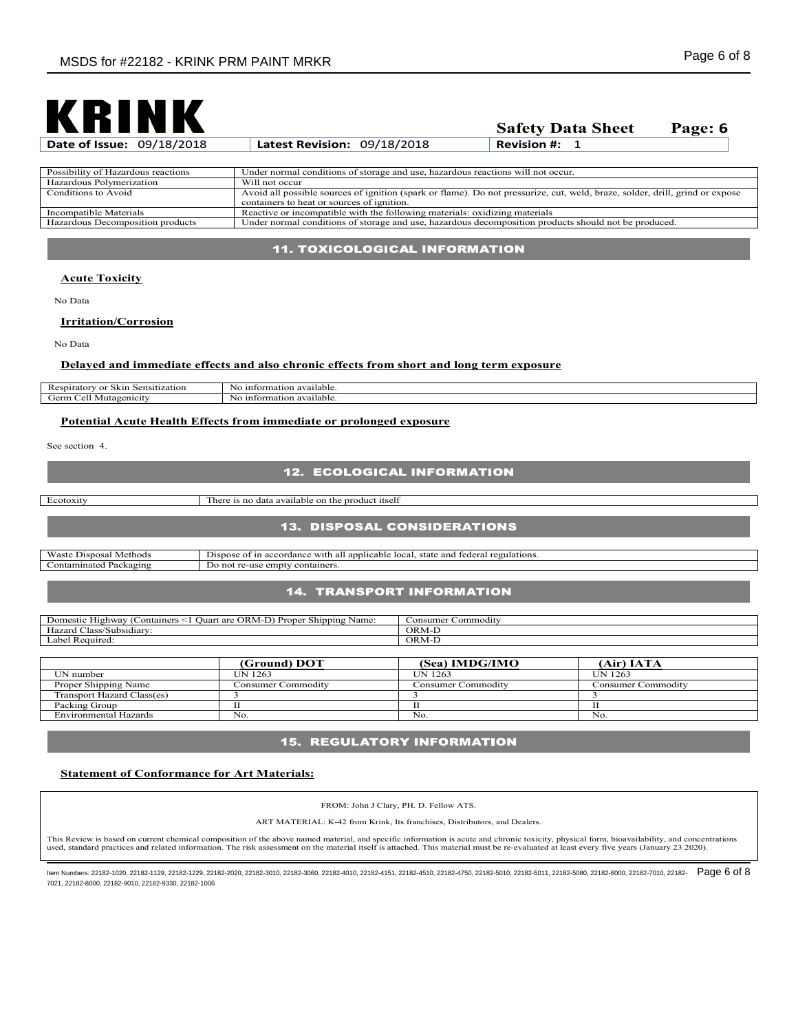

| <b>Date of Issue: 09/18/2018</b>   | Latest Revision: 09/18/2018                                                                                                                                                | <b>Revision #:</b> $1$ |
|------------------------------------|----------------------------------------------------------------------------------------------------------------------------------------------------------------------------|------------------------|
|                                    |                                                                                                                                                                            |                        |
| Possibility of Hazardous reactions | Under normal conditions of storage and use, hazardous reactions will not occur.                                                                                            |                        |
| Hazardous Polymerization           | Will not occur                                                                                                                                                             |                        |
| Conditions to Avoid                | Avoid all possible sources of ignition (spark or flame). Do not pressurize, cut, weld, braze, solder, drill, grind or expose<br>containers to heat or sources of ignition. |                        |
| Incompatible Materials             | Reactive or incompatible with the following materials: oxidizing materials                                                                                                 |                        |
| Hazardous Decomposition products   | Under normal conditions of storage and use, hazardous decomposition products should not be produced.                                                                       |                        |

## 11. TOXICOLOGICAL INFORMATION

#### **Acute Toxicity**

No Data

### **Irritation/Corrosion**

No Data

## **Delayed and immediate effects and also chronic effects from short and long term exposure**

| $\sim$<br>.<br>$-1$<br>. spirator <sup>.</sup><br>$\mathbf{r}$<br>sitization<br>SKIN.<br>KCS.<br>וו:זי | untormation available.<br>NG. |
|--------------------------------------------------------------------------------------------------------|-------------------------------|
| <b><i>Jerm</i></b><br>Mutagenicity<br>$\sim$<br>.                                                      | ntormation available.<br>NG   |

# **Potential Acute Health Effects from immediate or prolonged exposure**

See section 4.

# **12. ECOLOGICAL INFORMATION**

Ecotoxity There is no data available on the product itself

#### **13. DISPOSAL CONSIDERATIONS**

| <b>YY</b><br>. Methods<br>Waste<br>Disposal | $\sim$<br>and<br>regulations.<br>applicable<br>rade-<br><br>' JISDOSL<br>ordanc<br>state<br>Tocal<br>with<br>ΩŤ<br>ап<br>$\alpha$<br>- 150 151 41 |
|---------------------------------------------|---------------------------------------------------------------------------------------------------------------------------------------------------|
| -<br>ontaminated<br>Packagins               | containers.<br>empty<br>not<br>- טריו<br>                                                                                                         |

## **14. TRANSPORT INFORMATION**

| $\sim$<br>--<br>ORM-I<br>Name.<br>Containers<br>Proper<br>Shipping<br>riighway<br>Juari<br>c are<br>Domestic | Commodity<br>onsumer |
|--------------------------------------------------------------------------------------------------------------|----------------------|
| $-$<br>. .<br>/Subsidiarv<br>Hazard<br>las:                                                                  | ORM-                 |
| $\sim$<br>Required<br>Label:                                                                                 | ORM-                 |

|                            | (Ground) DOT       | (Sea) IMDG/IMO     | (Air) IATA         |
|----------------------------|--------------------|--------------------|--------------------|
| UN number                  | UN 1263            | UN 1263            | <b>UN 1263</b>     |
| Proper Shipping Name       | Consumer Commodity | ∵onsumer Commoditv | Consumer Commodity |
| Transport Hazard Class(es) |                    |                    |                    |
| Packing Group              |                    |                    |                    |
| Environmental Hazards      | No.                | No                 | No.                |

## **15. REGULATORY INFORMATION**

#### **Statement of Conformance for Art Materials:**

FROM: John J Clary, PH. D. Fellow ATS.

ART MATERIAL: K-42 from Krink, Its franchises, Distributors, and Dealers.

This Review is based on current chemical composition of the above named material, and specific information is acute and chronic toxicity, physical form, bioavailability, and concentrations used, standard practices and related information. The risk assessment on the material itself is attached. This material must be re-evaluated at least every five years (January 23 2020).

ltem Numbers: 22182-1020, 22182-1129, 22182-1229, 22182-2020, 22182-3010, 22182-3060, 22182-4010, 22182-4451, 22182-4750, 22182-4750, 22182-5010, 22182-5010, 22182-5080, 22182-6080, 22182-7010, 22182-7010, 22182-5080, 2218 7021, 22182-8000, 22182-9010, 22182-9330, 22182-1006

**Safety Data Sheet Page: 6**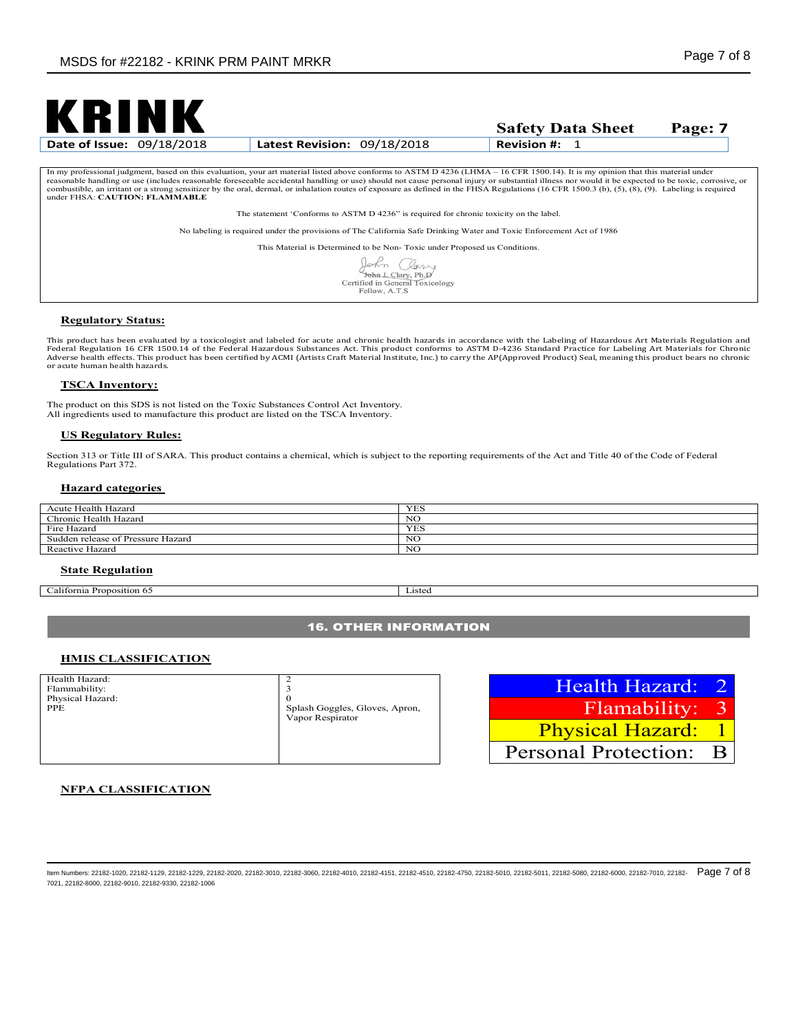

**Safety Data Sheet Page: 7**

| In my professional judgment, based on this evaluation, your art material listed above conforms to ASTM D 4236 (LHMA - 16 CFR 1500.14). It is my opinion that this material under                    |
|-----------------------------------------------------------------------------------------------------------------------------------------------------------------------------------------------------|
| reasonable handling or use (includes reasonable foreseeable accidental handling or use) should not cause personal injury or substantial illness nor would it be expected to be toxic, corrosive, or |
| combustible, an irritant or a strong sensitizer by the oral, dermal, or inhalation routes of exposure as defined in the FHSA Regulations (16 CFR 1500.3 (b), (5), (8), (9). Labeling is required    |
| under FHSA: CAUTION: FLAMMABLE                                                                                                                                                                      |

The statement 'Conforms to ASTM D 4236" is required for chronic toxicity on the label.

No labeling is required under the provisions of The California Safe Drinking Water and Toxic Enforcement Act of 1986

This Material is Determined to be Non- Toxic under Proposed us Conditions.

| $\pi$ n                         |
|---------------------------------|
| John J. Clary, Ph.D             |
| Certified in General Toxicology |
| Fellow, A.T.S.                  |

#### **Regulatory Status:**

This product has been evaluated by a toxicologist and labeled for acute and chronic health hazards in accordance with the Labeling of Hazardous Art Materials Regulation and Federal Regulation 16 CFR 1500.14 of the Federal Hazardous Substances Act. This product conforms to ASTM D-4236 Standard Practice for Labeling Art Materials for Chronic<br>Adverse health effects. This product has been certifi or acute human health hazards.

#### **TSCA Inventory:**

The product on this SDS is not listed on the Toxic Substances Control Act Inventory. All ingredients used to manufacture this product are listed on the TSCA Inventory.

#### **US Regulatory Rules:**

Section 313 or Title III of SARA. This product contains a chemical, which is subject to the reporting requirements of the Act and Title 40 of the Code of Federal Regulations Part 372.

#### **Hazard categories**

| Acute Health Hazard               | <b>YES</b> |
|-----------------------------------|------------|
| Chronic Health Hazard             | NG         |
| Fire Hazard                       | YES        |
| Sudden release of Pressure Hazard | NO         |
| Reactive Hazard                   | NC         |

#### **State Regulation**

**California Proposition 65** Listed

## **16. OTHER INFORMATION**

#### **HMIS CLASSIFICATION**

| Health Hazard:   | っ                              |
|------------------|--------------------------------|
| Flammability:    | 3                              |
| Physical Hazard: | $\mathbf{0}$                   |
| <b>PPE</b>       | Splash Goggles, Gloves, Apron, |
|                  | Vapor Respirator               |
|                  |                                |
|                  |                                |
|                  |                                |
|                  |                                |

Health Hazard: 2 Flamability: 3 Physical Hazard: 1 Personal Protection: B

## **NFPA CLASSIFICATION**